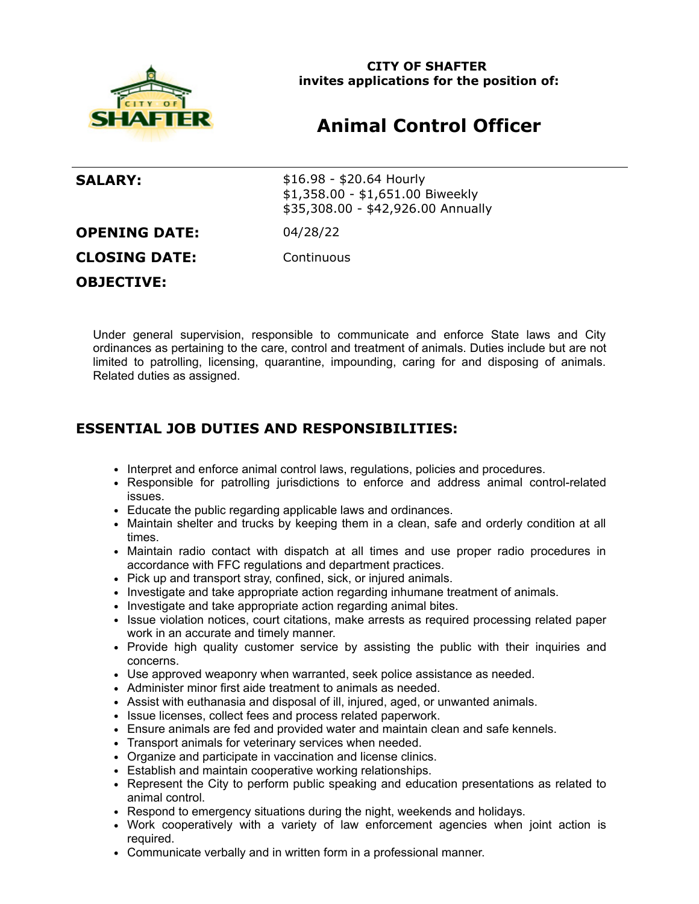

**CITY OF SHAFTER invites applications for the position of:**

## **Animal Control Officer**

**SALARY:** \$16.98 - \$20.64 Hourly \$1,358.00 - \$1,651.00 Biweekly \$35,308.00 - \$42,926.00 Annually **OPENING DATE:** 04/28/22 **CLOSING DATE:** Continuous **OBJECTIVE:**

Under general supervision, responsible to communicate and enforce State laws and City ordinances as pertaining to the care, control and treatment of animals. Duties include but are not limited to patrolling, licensing, quarantine, impounding, caring for and disposing of animals. Related duties as assigned.

## **ESSENTIAL JOB DUTIES AND RESPONSIBILITIES:**

- Interpret and enforce animal control laws, regulations, policies and procedures.
- Responsible for patrolling jurisdictions to enforce and address animal control-related issues.
- Educate the public regarding applicable laws and ordinances.
- Maintain shelter and trucks by keeping them in a clean, safe and orderly condition at all times.
- Maintain radio contact with dispatch at all times and use proper radio procedures in accordance with FFC regulations and department practices.
- Pick up and transport stray, confined, sick, or injured animals.
- Investigate and take appropriate action regarding inhumane treatment of animals.
- Investigate and take appropriate action regarding animal bites.
- Issue violation notices, court citations, make arrests as required processing related paper work in an accurate and timely manner.
- Provide high quality customer service by assisting the public with their inquiries and concerns.
- Use approved weaponry when warranted, seek police assistance as needed.
- Administer minor first aide treatment to animals as needed.
- Assist with euthanasia and disposal of ill, injured, aged, or unwanted animals.
- Issue licenses, collect fees and process related paperwork.
- Ensure animals are fed and provided water and maintain clean and safe kennels.
- Transport animals for veterinary services when needed.
- Organize and participate in vaccination and license clinics.
- Establish and maintain cooperative working relationships.
- Represent the City to perform public speaking and education presentations as related to animal control.
- Respond to emergency situations during the night, weekends and holidays.
- Work cooperatively with a variety of law enforcement agencies when joint action is required.
- Communicate verbally and in written form in a professional manner.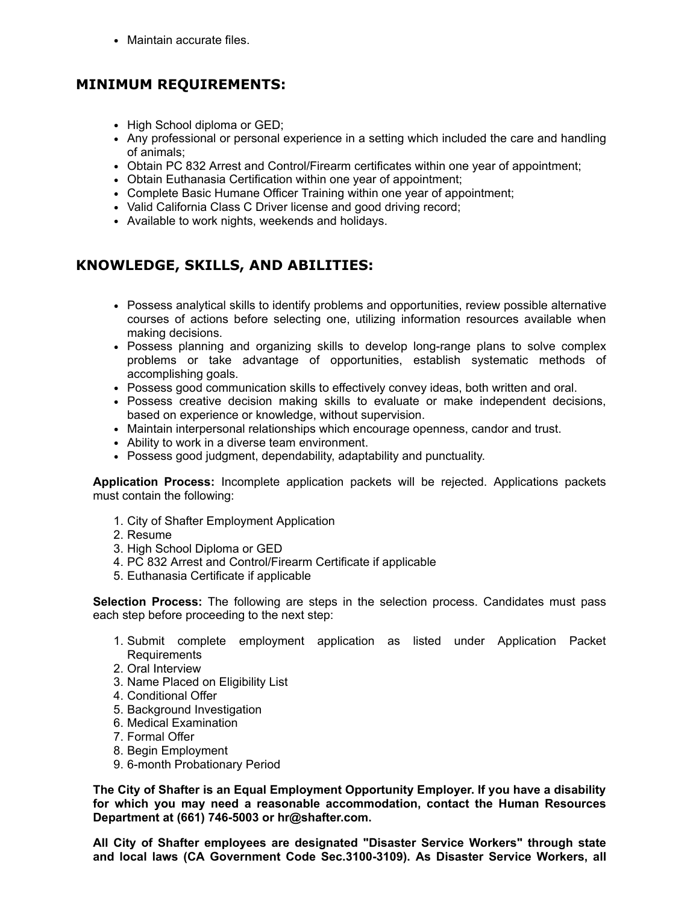• Maintain accurate files.

## **MINIMUM REQUIREMENTS:**

- High School diploma or GED;
- Any professional or personal experience in a setting which included the care and handling of animals;
- Obtain PC 832 Arrest and Control/Firearm certificates within one year of appointment;
- Obtain Euthanasia Certification within one year of appointment;
- Complete Basic Humane Officer Training within one year of appointment;
- Valid California Class C Driver license and good driving record;
- Available to work nights, weekends and holidays.

## **KNOWLEDGE, SKILLS, AND ABILITIES:**

- Possess analytical skills to identify problems and opportunities, review possible alternative courses of actions before selecting one, utilizing information resources available when making decisions.
- Possess planning and organizing skills to develop long-range plans to solve complex problems or take advantage of opportunities, establish systematic methods of accomplishing goals.
- Possess good communication skills to effectively convey ideas, both written and oral.
- Possess creative decision making skills to evaluate or make independent decisions, based on experience or knowledge, without supervision.
- Maintain interpersonal relationships which encourage openness, candor and trust.
- Ability to work in a diverse team environment.
- Possess good judgment, dependability, adaptability and punctuality.

**Application Process:** Incomplete application packets will be rejected. Applications packets must contain the following:

- 1. City of Shafter Employment Application
- 2. Resume
- 3. High School Diploma or GED
- 4. PC 832 Arrest and Control/Firearm Certificate if applicable
- 5. Euthanasia Certificate if applicable

**Selection Process:** The following are steps in the selection process. Candidates must pass each step before proceeding to the next step:

- 1. Submit complete employment application as listed under Application Packet Requirements
- 2. Oral Interview
- 3. Name Placed on Eligibility List
- 4. Conditional Offer
- 5. Background Investigation
- 6. Medical Examination
- 7. Formal Offer
- 8. Begin Employment
- 9. 6-month Probationary Period

**The City of Shafter is an Equal Employment Opportunity Employer. If you have a disability for which you may need a reasonable accommodation, contact the Human Resources Department at (661) 746-5003 or hr@shafter.com.**

**All City of Shafter employees are designated "Disaster Service Workers" through state and local laws (CA Government Code Sec.3100-3109). As Disaster Service Workers, all**